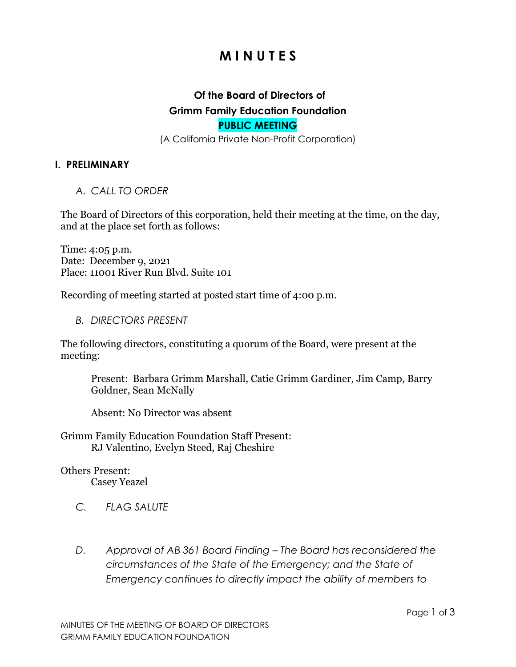# **M I N U T E S**

# **Of the Board of Directors of Grimm Family Education Foundation PUBLIC MEETING**

(A California Private Non-Profit Corporation)

#### **I. PRELIMINARY**

*A. CALL TO ORDER*

The Board of Directors of this corporation, held their meeting at the time, on the day, and at the place set forth as follows:

Time: 4:05 p.m. Date: December 9, 2021 Place: 11001 River Run Blvd. Suite 101

Recording of meeting started at posted start time of 4:00 p.m.

*B. DIRECTORS PRESENT*

The following directors, constituting a quorum of the Board, were present at the meeting:

Present: Barbara Grimm Marshall, Catie Grimm Gardiner, Jim Camp, Barry Goldner, Sean McNally

Absent: No Director was absent

Grimm Family Education Foundation Staff Present: RJ Valentino, Evelyn Steed, Raj Cheshire

# Others Present:

Casey Yeazel

- *C. FLAG SALUTE*
- *D. Approval of AB 361 Board Finding The Board has reconsidered the circumstances of the State of the Emergency; and the State of Emergency continues to directly impact the ability of members to*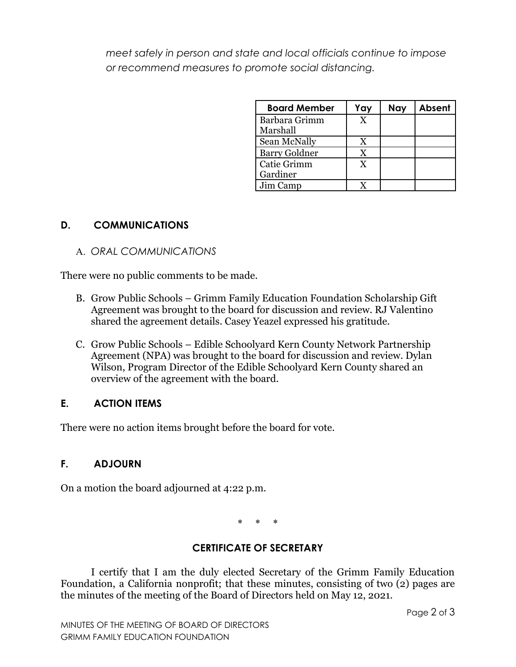*meet safely in person and state and local officials continue to impose or recommend measures to promote social distancing.*

| <b>Board Member</b>  | Yay | <b>Nay</b> | Absent |
|----------------------|-----|------------|--------|
| Barbara Grimm        | X   |            |        |
| Marshall             |     |            |        |
| Sean McNally         | X   |            |        |
| <b>Barry Goldner</b> | Y   |            |        |
| Catie Grimm          | X   |            |        |
| Gardiner             |     |            |        |
| Jim Camp             |     |            |        |

#### **D. COMMUNICATIONS**

A. *ORAL COMMUNICATIONS*

There were no public comments to be made.

- B. Grow Public Schools Grimm Family Education Foundation Scholarship Gift Agreement was brought to the board for discussion and review. RJ Valentino shared the agreement details. Casey Yeazel expressed his gratitude.
- C. Grow Public Schools Edible Schoolyard Kern County Network Partnership Agreement (NPA) was brought to the board for discussion and review. Dylan Wilson, Program Director of the Edible Schoolyard Kern County shared an overview of the agreement with the board.

## **E. ACTION ITEMS**

There were no action items brought before the board for vote.

## **F. ADJOURN**

On a motion the board adjourned at 4:22 p.m.

\* \* \*

## **CERTIFICATE OF SECRETARY**

I certify that I am the duly elected Secretary of the Grimm Family Education Foundation, a California nonprofit; that these minutes, consisting of two (2) pages are the minutes of the meeting of the Board of Directors held on May 12, 2021.